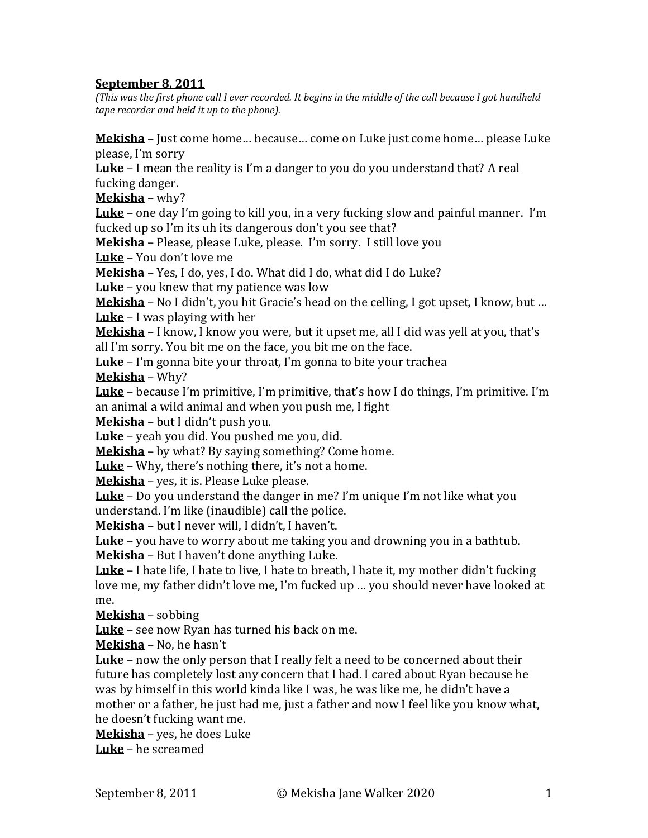## **September 8, 2011**

*(This was the first phone call I ever recorded. It begins in the middle of the call because I got handheld tape recorder and held it up to the phone).*

**Mekisha** – Just come home… because… come on Luke just come home… please Luke please, I'm sorry

**Luke** – I mean the reality is I'm a danger to you do you understand that? A real fucking danger.

**Mekisha** – why?

**Luke** – one day I'm going to kill you, in a very fucking slow and painful manner. I'm fucked up so I'm its uh its dangerous don't you see that?

**Mekisha** – Please, please Luke, please. I'm sorry. I still love you

**Luke** – You don't love me

**Mekisha** – Yes, I do, yes, I do. What did I do, what did I do Luke?

**Luke** – you knew that my patience was low

**Mekisha** – No I didn't, you hit Gracie's head on the celling, I got upset, I know, but … **Luke** – I was playing with her

**Mekisha** – I know, I know you were, but it upset me, all I did was yell at you, that's all I'm sorry. You bit me on the face, you bit me on the face.

**Luke** – I'm gonna bite your throat, I'm gonna to bite your trachea

**Mekisha** – Why?

**Luke** – because I'm primitive, I'm primitive, that's how I do things, I'm primitive. I'm an animal a wild animal and when you push me, I fight

**Mekisha** – but I didn't push you.

**Luke** – yeah you did. You pushed me you, did.

**Mekisha** – by what? By saying something? Come home.

**Luke** – Why, there's nothing there, it's not a home.

**Mekisha** – yes, it is. Please Luke please.

**Luke** – Do you understand the danger in me? I'm unique I'm not like what you understand. I'm like (inaudible) call the police.

**Mekisha** – but I never will, I didn't, I haven't.

**Luke** – you have to worry about me taking you and drowning you in a bathtub. **Mekisha** – But I haven't done anything Luke.

**Luke** – I hate life, I hate to live, I hate to breath, I hate it, my mother didn't fucking love me, my father didn't love me, I'm fucked up … you should never have looked at me.

**Mekisha** – sobbing

**Luke** – see now Ryan has turned his back on me.

**Mekisha** – No, he hasn't

**Luke** – now the only person that I really felt a need to be concerned about their future has completely lost any concern that I had. I cared about Ryan because he was by himself in this world kinda like I was, he was like me, he didn't have a mother or a father, he just had me, just a father and now I feel like you know what, he doesn't fucking want me.

**Mekisha** – yes, he does Luke

**Luke** – he screamed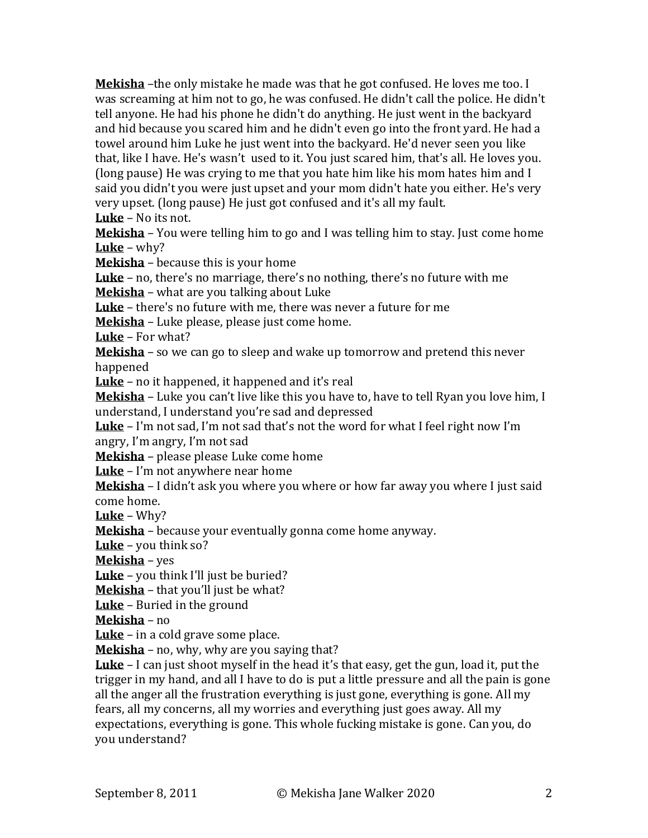**Mekisha** –the only mistake he made was that he got confused. He loves me too. I was screaming at him not to go, he was confused. He didn't call the police. He didn't tell anyone. He had his phone he didn't do anything. He just went in the backyard and hid because you scared him and he didn't even go into the front yard. He had a towel around him Luke he just went into the backyard. He'd never seen you like that, like I have. He's wasn't used to it. You just scared him, that's all. He loves you. (long pause) He was crying to me that you hate him like his mom hates him and I said you didn't you were just upset and your mom didn't hate you either. He's very very upset. (long pause) He just got confused and it's all my fault.

**Luke** – No its not.

**Mekisha** – You were telling him to go and I was telling him to stay. Just come home **Luke** – why?

**Mekisha** – because this is your home

**Luke** – no, there's no marriage, there's no nothing, there's no future with me **Mekisha** – what are you talking about Luke

**Luke** – there's no future with me, there was never a future for me

**Mekisha** – Luke please, please just come home.

**Luke** – For what?

**Mekisha** – so we can go to sleep and wake up tomorrow and pretend this never happened

**Luke** – no it happened, it happened and it's real

**Mekisha** – Luke you can't live like this you have to, have to tell Ryan you love him, I understand, I understand you're sad and depressed

**Luke** – I'm not sad, I'm not sad that's not the word for what I feel right now I'm angry, I'm angry, I'm not sad

**Mekisha** – please please Luke come home

**Luke** – I'm not anywhere near home

**Mekisha** – I didn't ask you where you where or how far away you where I just said come home.

**Luke** – Why?

**Mekisha** – because your eventually gonna come home anyway.

**Luke** – you think so?

**Mekisha** – yes

**Luke** – you think I'll just be buried?

**Mekisha** – that you'll just be what?

**Luke** – Buried in the ground

**Mekisha** – no

**Luke** – in a cold grave some place.

**Mekisha** – no, why, why are you saying that?

**Luke** – I can just shoot myself in the head it's that easy, get the gun, load it, put the trigger in my hand, and all I have to do is put a little pressure and all the pain is gone all the anger all the frustration everything is just gone, everything is gone. All my fears, all my concerns, all my worries and everything just goes away. All my expectations, everything is gone. This whole fucking mistake is gone. Can you, do you understand?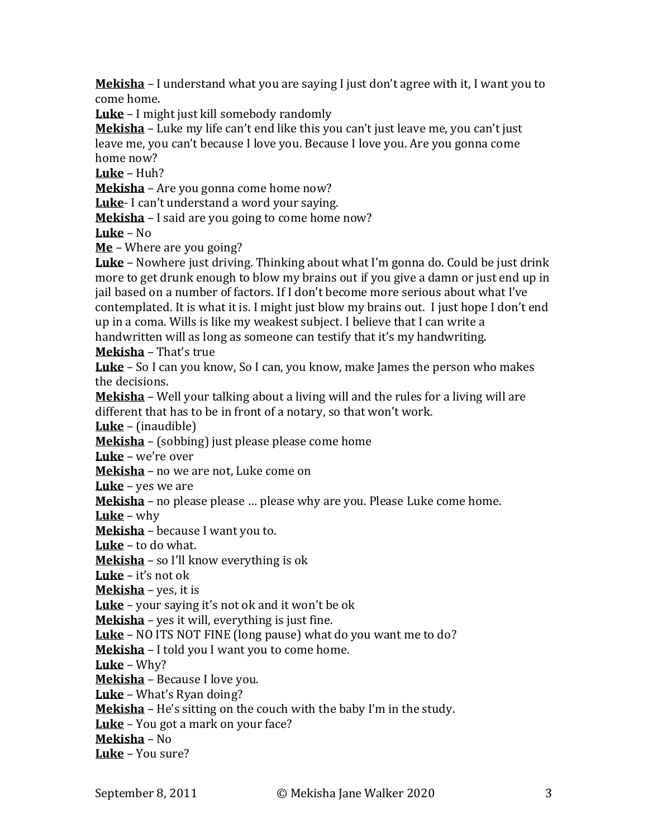**Mekisha** – I understand what you are saying I just don't agree with it, I want you to come home.

**Luke** – I might just kill somebody randomly

**Mekisha** – Luke my life can't end like this you can't just leave me, you can't just leave me, you can't because I love you. Because I love you. Are you gonna come home now?

**Luke** – Huh?

**Mekisha** – Are you gonna come home now?

**Luke**- I can't understand a word your saying.

**Mekisha** – I said are you going to come home now?

**Luke** – No

**Me** – Where are you going?

**Luke** – Nowhere just driving. Thinking about what I'm gonna do. Could be just drink more to get drunk enough to blow my brains out if you give a damn or just end up in jail based on a number of factors. If I don't become more serious about what I've contemplated. It is what it is. I might just blow my brains out. I just hope I don't end up in a coma. Wills is like my weakest subject. I believe that I can write a

handwritten will as long as someone can testify that it's my handwriting.

**Mekisha** – That's true

**Luke** – So I can you know, So I can, you know, make James the person who makes the decisions.

**Mekisha** – Well your talking about a living will and the rules for a living will are different that has to be in front of a notary, so that won't work.

**Luke** – (inaudible)

**Mekisha** – (sobbing) just please please come home

**Luke** – we're over

**Mekisha** – no we are not, Luke come on

**Luke** – yes we are

**Mekisha** – no please please … please why are you. Please Luke come home.

**Luke** – why

**Mekisha** – because I want you to.

**Luke** – to do what.

**Mekisha** – so I'll know everything is ok

**Luke** – it's not ok

**Mekisha** – yes, it is

**Luke** – your saying it's not ok and it won't be ok

**Mekisha** – yes it will, everything is just fine.

**Luke** – NO ITS NOT FINE (long pause) what do you want me to do?

**Mekisha** – I told you I want you to come home.

**Luke** – Why?

**Mekisha** – Because I love you.

**Luke** – What's Ryan doing?

**Mekisha** – He's sitting on the couch with the baby I'm in the study.

**Luke** – You got a mark on your face?

**Mekisha** – No

**Luke** – You sure?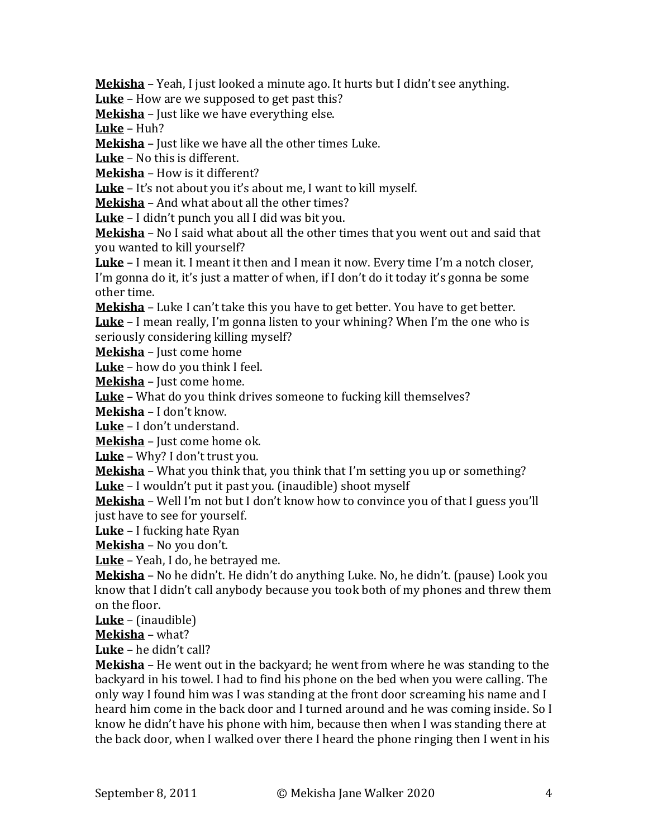**Mekisha** – Yeah, I just looked a minute ago. It hurts but I didn't see anything.

**Luke** – How are we supposed to get past this?

**Mekisha** – Just like we have everything else.

**Luke** – Huh?

**Mekisha** – Just like we have all the other times Luke.

**Luke** – No this is different.

**Mekisha** – How is it different?

**Luke** – It's not about you it's about me, I want to kill myself.

**Mekisha** – And what about all the other times?

**Luke** – I didn't punch you all I did was bit you.

**Mekisha** – No I said what about all the other times that you went out and said that you wanted to kill yourself?

**Luke** – I mean it. I meant it then and I mean it now. Every time I'm a notch closer, I'm gonna do it, it's just a matter of when, if I don't do it today it's gonna be some other time.

**Mekisha** – Luke I can't take this you have to get better. You have to get better.

**Luke** – I mean really, I'm gonna listen to your whining? When I'm the one who is seriously considering killing myself?

**Mekisha** – Just come home

**Luke** – how do you think I feel.

**Mekisha** – Just come home.

**Luke** – What do you think drives someone to fucking kill themselves?

**Mekisha** – I don't know.

**Luke** – I don't understand.

**Mekisha** – Just come home ok.

**Luke** – Why? I don't trust you.

**Mekisha** – What you think that, you think that I'm setting you up or something? **Luke** – I wouldn't put it past you. (inaudible) shoot myself

**Mekisha** – Well I'm not but I don't know how to convince you of that I guess you'll just have to see for yourself.

**Luke** – I fucking hate Ryan

**Mekisha** – No you don't.

**Luke** – Yeah, I do, he betrayed me.

**Mekisha** – No he didn't. He didn't do anything Luke. No, he didn't. (pause) Look you know that I didn't call anybody because you took both of my phones and threw them on the floor.

**Luke** – (inaudible)

**Mekisha** – what?

**Luke** – he didn't call?

**Mekisha** – He went out in the backyard; he went from where he was standing to the backyard in his towel. I had to find his phone on the bed when you were calling. The only way I found him was I was standing at the front door screaming his name and I heard him come in the back door and I turned around and he was coming inside. So I know he didn't have his phone with him, because then when I was standing there at the back door, when I walked over there I heard the phone ringing then I went in his